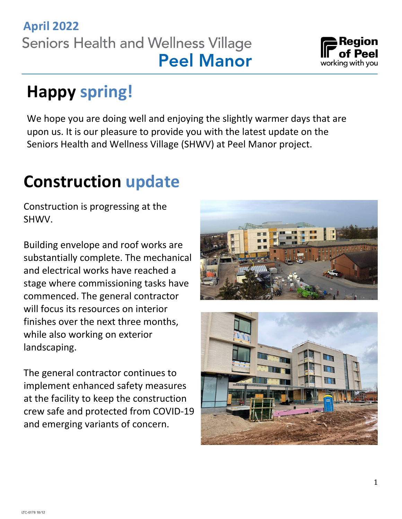# **April 2022 Peel Manor**



## **Happy spring!**

We hope you are doing well and enjoying the slightly warmer days that are upon us. It is our pleasure to provide you with the latest update on the Seniors Health and Wellness Village (SHWV) at Peel Manor project.

## **Construction update**

Construction is progressing at the SHWV.

Building envelope and roof works are substantially complete. The mechanical and electrical works have reached a stage where commissioning tasks have commenced. The general contractor will focus its resources on interior finishes over the next three months, while also working on exterior landscaping.

The general contractor continues to implement enhanced safety measures at the facility to keep the construction crew safe and protected from COVID-19 and emerging variants of concern.



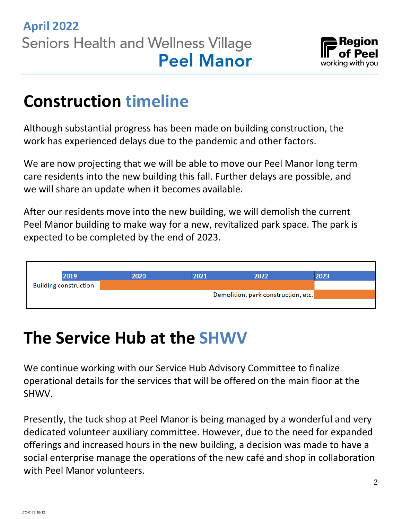

### **Construction timeline**

Although substantial progress has been made on building construction, the work has experienced delays due to the pandemic and other factors.

We are now projecting that we will be able to move our Peel Manor long term care residents into the new building this fall. Further delays are possible, and we will share an update when it becomes available.

After our residents move into the new building, we will demolish the current Peel Manor building to make way for a new, revitalized park space. The park is expected to be completed by the end of 2023.



### **The Service Hub at the SHWV**

We continue working with our Service Hub Advisory Committee to finalize operational details for the services that will be offered on the main floor at the SHWV.

Presently, the tuck shop at Peel Manor is being managed by a wonderful and very dedicated volunteer auxiliary committee. However, due to the need for expanded offerings and increased hours in the new building, a decision was made to have a social enterprise manage the operations of the new café and shop in collaboration with Peel Manor volunteers.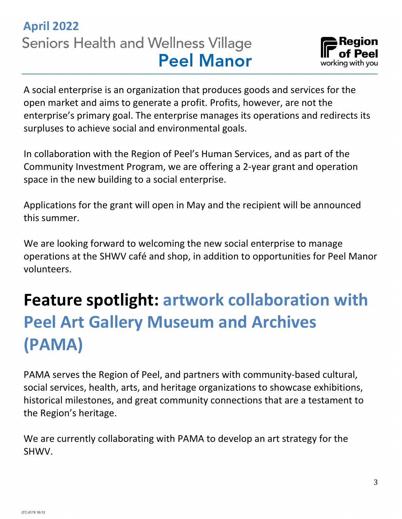#### **April 2022 Seniors Health and Wellness Village Peel Manor**



A social enterprise is an organization that produces goods and services for the open market and aims to generate a profit. Profits, however, are not the enterprise's primary goal. The enterprise manages its operations and redirects its surpluses to achieve social and environmental goals.

In collaboration with the Region of Peel's Human Services, and as part of the Community Investment Program, we are offering a 2-year grant and operation space in the new building to a social enterprise.

Applications for the grant will open in May and the recipient will be announced this summer.

We are looking forward to welcoming the new social enterprise to manage operations at the SHWV café and shop, in addition to opportunities for Peel Manor volunteers.

# **Feature spotlight: artwork collaboration with Peel Art Gallery Museum and Archives (PAMA)**

PAMA serves the Region of Peel, and partners with community-based cultural, social services, health, arts, and heritage organizations to showcase exhibitions, historical milestones, and great community connections that are a testament to the Region's heritage.

We are currently collaborating with PAMA to develop an art strategy for the SHWV.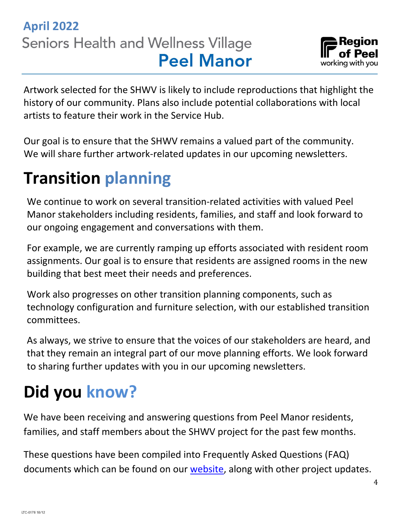#### **April 2022 Seniors Health and Wellness Village Peel Manor**



Artwork selected for the SHWV is likely to include reproductions that highlight the history of our community. Plans also include potential collaborations with local artists to feature their work in the Service Hub.

Our goal is to ensure that the SHWV remains a valued part of the community. We will share further artwork-related updates in our upcoming newsletters.

## **Transition planning**

We continue to work on several transition-related activities with valued Peel Manor stakeholders including residents, families, and staff and look forward to our ongoing engagement and conversations with them.

For example, we are currently ramping up efforts associated with resident room assignments. Our goal is to ensure that residents are assigned rooms in the new building that best meet their needs and preferences.

Work also progresses on other transition planning components, such as technology configuration and furniture selection, with our established transition committees.

As always, we strive to ensure that the voices of our stakeholders are heard, and that they remain an integral part of our move planning efforts. We look forward to sharing further updates with you in our upcoming newsletters.

# **Did you know?**

We have been receiving and answering questions from Peel Manor residents, families, and staff members about the SHWV project for the past few months.

These questions have been compiled into Frequently Asked Questions (FAQ) documents which can be found on our [website,](https://peelregion.ca/ltc/peel-manor/village-at-peel-manor.asp) along with other project updates.